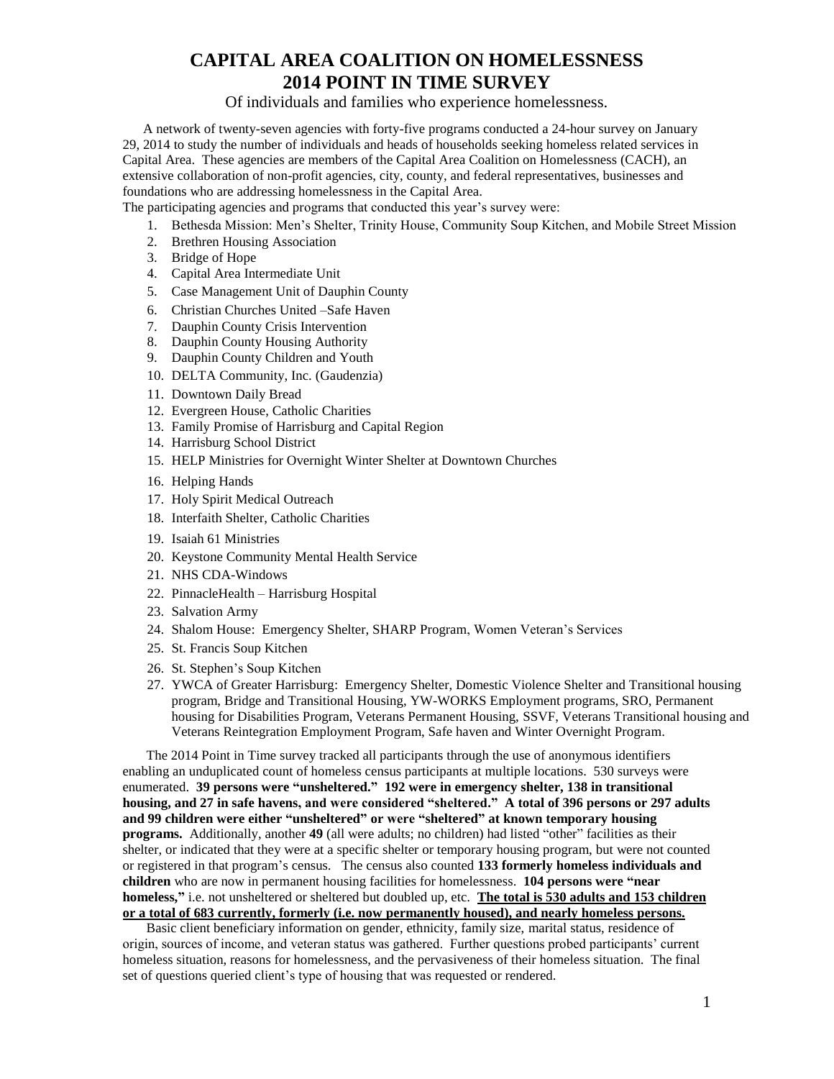Of individuals and families who experience homelessness.

 A network of twenty-seven agencies with forty-five programs conducted a 24-hour survey on January 29, 2014 to study the number of individuals and heads of households seeking homeless related services in Capital Area. These agencies are members of the Capital Area Coalition on Homelessness (CACH), an extensive collaboration of non-profit agencies, city, county, and federal representatives, businesses and foundations who are addressing homelessness in the Capital Area.

The participating agencies and programs that conducted this year's survey were:

- 1. Bethesda Mission: Men's Shelter, Trinity House, Community Soup Kitchen, and Mobile Street Mission
- 2. Brethren Housing Association
- 3. Bridge of Hope
- 4. Capital Area Intermediate Unit
- 5. Case Management Unit of Dauphin County
- 6. Christian Churches United –Safe Haven
- 7. Dauphin County Crisis Intervention
- 8. Dauphin County Housing Authority
- 9. Dauphin County Children and Youth
- 10. DELTA Community, Inc. (Gaudenzia)
- 11. Downtown Daily Bread
- 12. Evergreen House, Catholic Charities
- 13. Family Promise of Harrisburg and Capital Region
- 14. Harrisburg School District
- 15. HELP Ministries for Overnight Winter Shelter at Downtown Churches
- 16. Helping Hands
- 17. Holy Spirit Medical Outreach
- 18. Interfaith Shelter, Catholic Charities
- 19. Isaiah 61 Ministries
- 20. Keystone Community Mental Health Service
- 21. NHS CDA-Windows
- 22. PinnacleHealth Harrisburg Hospital
- 23. Salvation Army
- 24. Shalom House: Emergency Shelter, SHARP Program, Women Veteran's Services
- 25. St. Francis Soup Kitchen
- 26. St. Stephen's Soup Kitchen
- 27. YWCA of Greater Harrisburg: Emergency Shelter, Domestic Violence Shelter and Transitional housing program, Bridge and Transitional Housing, YW-WORKS Employment programs, SRO, Permanent housing for Disabilities Program, Veterans Permanent Housing, SSVF, Veterans Transitional housing and Veterans Reintegration Employment Program, Safe haven and Winter Overnight Program.

 The 2014 Point in Time survey tracked all participants through the use of anonymous identifiers enabling an unduplicated count of homeless census participants at multiple locations. 530 surveys were enumerated. **39 persons were "unsheltered." 192 were in emergency shelter, 138 in transitional housing, and 27 in safe havens, and were considered "sheltered." A total of 396 persons or 297 adults and 99 children were either "unsheltered" or were "sheltered" at known temporary housing programs.** Additionally, another **49** (all were adults; no children) had listed "other" facilities as their shelter, or indicated that they were at a specific shelter or temporary housing program, but were not counted or registered in that program's census. The census also counted **133 formerly homeless individuals and children** who are now in permanent housing facilities for homelessness. **104 persons were "near homeless,"** i.e. not unsheltered or sheltered but doubled up, etc. **The total is 530 adults and 153 children or a total of 683 currently, formerly (i.e. now permanently housed), and nearly homeless persons.**

 Basic client beneficiary information on gender, ethnicity, family size, marital status, residence of origin, sources of income, and veteran status was gathered. Further questions probed participants' current homeless situation, reasons for homelessness, and the pervasiveness of their homeless situation. The final set of questions queried client's type of housing that was requested or rendered.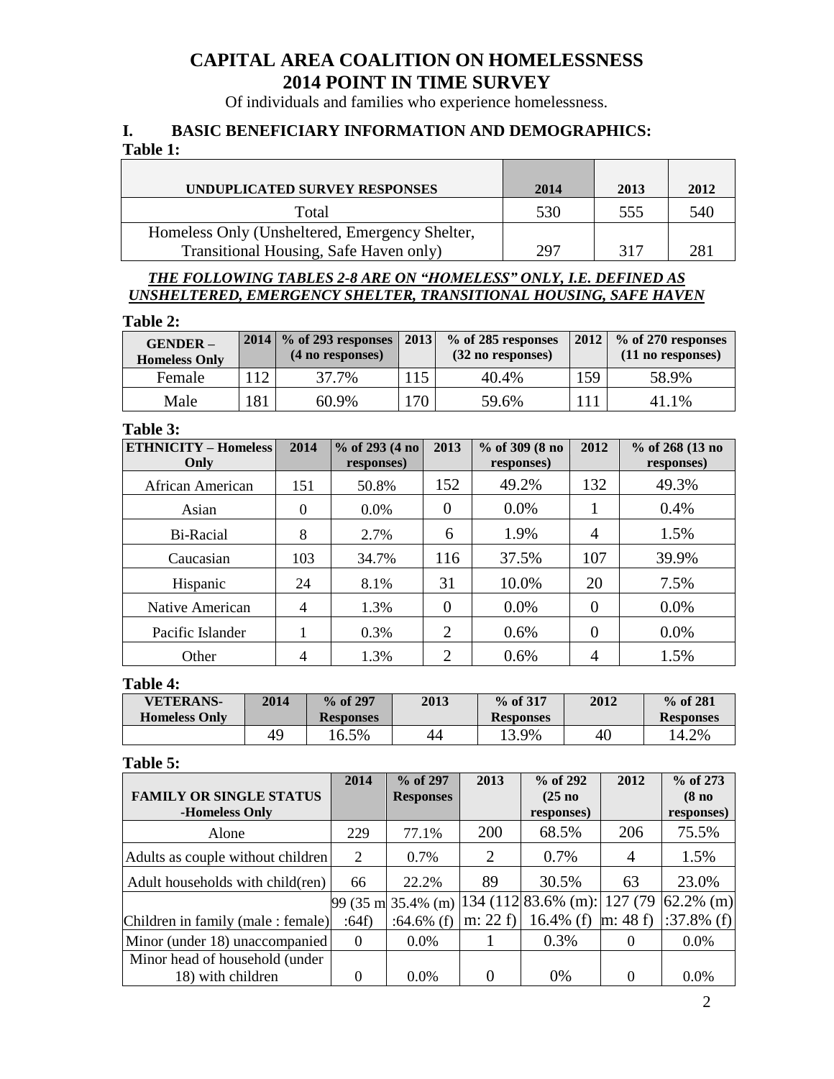Of individuals and families who experience homelessness.

## **I. BASIC BENEFICIARY INFORMATION AND DEMOGRAPHICS:**

### **Table 1:**

| UNDUPLICATED SURVEY RESPONSES                  | 2014 | 2013 | 2012 |
|------------------------------------------------|------|------|------|
| Total                                          | 530  | 555  | 540  |
| Homeless Only (Unsheltered, Emergency Shelter, |      |      |      |
| Transitional Housing, Safe Haven only)         | 297  | 317  | 281  |

### *THE FOLLOWING TABLES 2-8 ARE ON "HOMELESS" ONLY, I.E. DEFINED AS UNSHELTERED, EMERGENCY SHELTER, TRANSITIONAL HOUSING, SAFE HAVEN*

#### **Table 2:**

| $GENDER -$<br><b>Homeless Only</b> |    | 2014 \% of 293 responses   2013<br>(4 no responses) |     | % of 285 responses<br>$(32$ no responses) | 2012 | % of 270 responses<br>$(11$ no responses) |
|------------------------------------|----|-----------------------------------------------------|-----|-------------------------------------------|------|-------------------------------------------|
| Female                             | 12 | 37.7%                                               | 15  | 40.4%                                     | 159  | 58.9%                                     |
| Male                               | 81 | 60.9%                                               | 170 | 59.6%                                     |      | 41.1%                                     |

### **Table 3:**

| <b>ETHNICITY - Homeless</b><br>Only | 2014           | $%$ of 293 (4 no)<br>responses) | 2013           | % of 309 (8 no<br>responses) | 2012           | $%$ of 268 (13 no<br>responses) |
|-------------------------------------|----------------|---------------------------------|----------------|------------------------------|----------------|---------------------------------|
| African American                    | 151            | 50.8%                           | 152            | 49.2%                        | 132            | 49.3%                           |
| Asian                               | $\Omega$       | $0.0\%$                         | 0              | $0.0\%$                      | 1              | 0.4%                            |
| Bi-Racial                           | 8              | 2.7%                            | 6              | 1.9%                         | 4              | 1.5%                            |
| Caucasian                           | 103            | 34.7%                           | 116            | 37.5%                        | 107            | 39.9%                           |
| Hispanic                            | 24             | 8.1%                            | 31             | 10.0%                        | 20             | 7.5%                            |
| Native American                     | $\overline{4}$ | 1.3%                            | $\overline{0}$ | $0.0\%$                      | $\overline{0}$ | $0.0\%$                         |
| Pacific Islander                    |                | 0.3%                            | $\overline{2}$ | 0.6%                         | $\Omega$       | $0.0\%$                         |
| Other                               | 4              | 1.3%                            | $\mathcal{D}$  | 0.6%                         | 4              | 1.5%                            |

### **Table 4:**

| <b>VETERANS-</b>     | 2014 | $%$ of 297       | 2013 | $%$ of 317       | 2012 | $%$ of 281       |
|----------------------|------|------------------|------|------------------|------|------------------|
| <b>Homeless Only</b> |      | <b>Responses</b> |      | <b>Responses</b> |      | <b>Responses</b> |
|                      | 49   | 16.5%            | 44   | 13.9%            | 40   | 14.2%            |

#### **Table 5:**

|                                   | 2014     | $%$ of 297         | 2013      | % of 292                              | 2012           | % of 273           |
|-----------------------------------|----------|--------------------|-----------|---------------------------------------|----------------|--------------------|
| <b>FAMILY OR SINGLE STATUS</b>    |          | <b>Responses</b>   |           | (25 <sub>no</sub>                     |                | (8 <sub>no</sub> ) |
| -Homeless Only                    |          |                    |           | responses)                            |                | responses)         |
| Alone                             | 229      | 77.1%              | 200       | 68.5%                                 | 206            | 75.5%              |
| Adults as couple without children | 2        | 0.7%               | 2         | 0.7%                                  | $\overline{4}$ | 1.5%               |
| Adult households with child(ren)  | 66       | 22.2%              | 89        | 30.5%                                 | 63             | 23.0%              |
|                                   |          | 99 (35 m 35.4% (m) |           | $ 134 \ (112 83.6\% \ (m): 127 \ (79$ |                | $62.2\%$ (m)       |
| Children in family (male: female) | :64f)    | :64.6% $(f)$       | m: $22 f$ | 16.4% $(f)$                           | m: 48 f        | $:37.8\%$ (f)      |
| Minor (under 18) unaccompanied    | $\theta$ | 0.0%               |           | 0.3%                                  | $\Omega$       | 0.0%               |
| Minor head of household (under    |          |                    |           |                                       |                |                    |
| 18) with children                 | 0        | $0.0\%$            |           | 0%                                    |                | $0.0\%$            |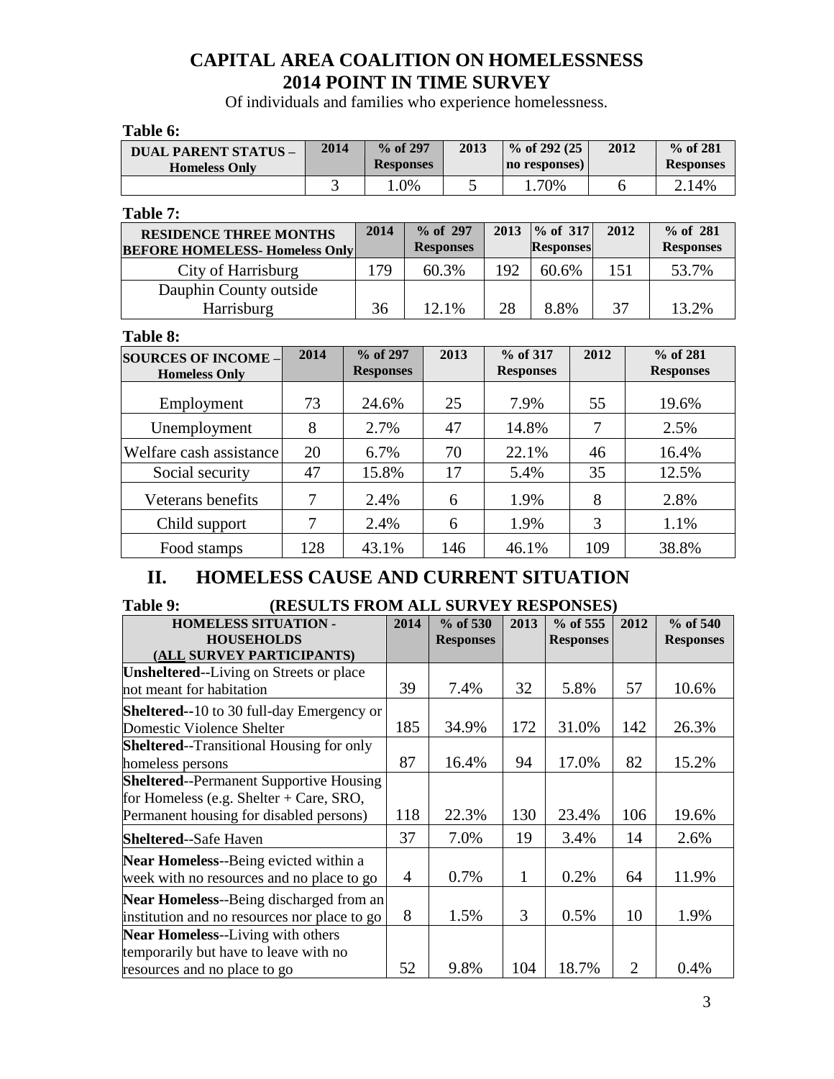Of individuals and families who experience homelessness.

**Table 6:**

| <b>DUAL PARENT STATUS -</b><br><b>Homeless Only</b>                    | 2014           | % of 297<br><b>Responses</b> |       | 2013                         |       | % of 292 (25)<br>no responses)       |    | 2012 |       | $%$ of 281<br><b>Responses</b> |  |
|------------------------------------------------------------------------|----------------|------------------------------|-------|------------------------------|-------|--------------------------------------|----|------|-------|--------------------------------|--|
|                                                                        | 3              | 1.0%                         |       | 5                            |       | 1.70%                                |    | 6    |       | 2.14%                          |  |
| Table 7:                                                               |                |                              |       |                              |       |                                      |    |      |       |                                |  |
| <b>RESIDENCE THREE MONTHS</b><br><b>BEFORE HOMELESS- Homeless Only</b> |                | 2014                         |       | % of 297<br><b>Responses</b> | 2013  | % of 317<br><b>Responses</b>         |    | 2012 |       | % of 281<br><b>Responses</b>   |  |
| City of Harrisburg                                                     |                | 179                          |       | 60.3%                        | 192   | 60.6%                                |    | 151  |       | 53.7%                          |  |
| Dauphin County outside<br>Harrisburg                                   | 36             |                              | 12.1% | 28                           | 8.8%  |                                      | 37 |      | 13.2% |                                |  |
| Table 8:                                                               |                |                              |       |                              |       |                                      |    |      |       |                                |  |
| <b>SOURCES OF INCOME -</b><br><b>Homeless Only</b>                     | 2014           | % of 297<br><b>Responses</b> |       | 2013                         |       | 2012<br>% of 317<br><b>Responses</b> |    |      |       | % of 281<br><b>Responses</b>   |  |
| Employment                                                             | 73             | 24.6%                        |       | 25                           | 7.9%  |                                      |    | 55   |       | 19.6%                          |  |
| Unemployment                                                           | 8              | 2.7%                         |       | 47                           | 14.8% |                                      |    | 7    |       | 2.5%                           |  |
| Welfare cash assistance                                                | 20             | 6.7%                         |       | 70                           | 22.1% |                                      | 46 |      |       | 16.4%                          |  |
| Social security                                                        | 47             | 15.8%                        |       | 17                           | 5.4%  |                                      |    | 35   |       | 12.5%                          |  |
| Veterans benefits                                                      | 7              | 2.4%                         |       | 6                            | 1.9%  |                                      |    | 8    |       | 2.8%                           |  |
| Child support                                                          | $\overline{7}$ | 2.4%                         |       | 6                            | 1.9%  |                                      |    | 3    |       | 1.1%                           |  |
| Food stamps                                                            | 128            | 43.1%                        |       | 146                          | 46.1% |                                      |    | 109  |       | 38.8%                          |  |

## **II. HOMELESS CAUSE AND CURRENT SITUATION**

## **Table 9: (RESULTS FROM ALL SURVEY RESPONSES)**

| <b>HOMELESS SITUATION -</b>                      | 2014 | $%$ of 530       | 2013 | $%$ of 555       | 2012                        | $%$ of 540       |
|--------------------------------------------------|------|------------------|------|------------------|-----------------------------|------------------|
| <b>HOUSEHOLDS</b>                                |      | <b>Responses</b> |      | <b>Responses</b> |                             | <b>Responses</b> |
| (ALL SURVEY PARTICIPANTS)                        |      |                  |      |                  |                             |                  |
| <b>Unsheltered--Living on Streets or place</b>   |      |                  |      |                  |                             |                  |
| not meant for habitation                         | 39   | 7.4%             | 32   | 5.8%             | 57                          | 10.6%            |
| <b>Sheltered--10 to 30 full-day Emergency or</b> |      |                  |      |                  |                             |                  |
| Domestic Violence Shelter                        | 185  | 34.9%            | 172  | 31.0%            | 142                         | 26.3%            |
| <b>Sheltered--Transitional Housing for only</b>  |      |                  |      |                  |                             |                  |
| homeless persons                                 | 87   | 16.4%            | 94   | 17.0%            | 82                          | 15.2%            |
| <b>Sheltered--Permanent Supportive Housing</b>   |      |                  |      |                  |                             |                  |
| for Homeless (e.g. Shelter $+$ Care, SRO,        |      |                  |      |                  |                             |                  |
| Permanent housing for disabled persons)          | 118  | 22.3%            | 130  | 23.4%            | 106                         | 19.6%            |
| <b>Sheltered--Safe Haven</b>                     | 37   | 7.0%             | 19   | 3.4%             | 14                          | 2.6%             |
| Near Homeless--Being evicted within a            |      |                  |      |                  |                             |                  |
| week with no resources and no place to go        | 4    | 0.7%             | 1    | 0.2%             | 64                          | 11.9%            |
| Near Homeless--Being discharged from an          |      |                  |      |                  |                             |                  |
| institution and no resources nor place to go     | 8    | 1.5%             | 3    | 0.5%             | 10                          | 1.9%             |
| Near Homeless--Living with others                |      |                  |      |                  |                             |                  |
| temporarily but have to leave with no            |      |                  |      |                  |                             |                  |
| resources and no place to go                     | 52   | 9.8%             | 104  | 18.7%            | $\mathcal{D}_{\mathcal{L}}$ | 0.4%             |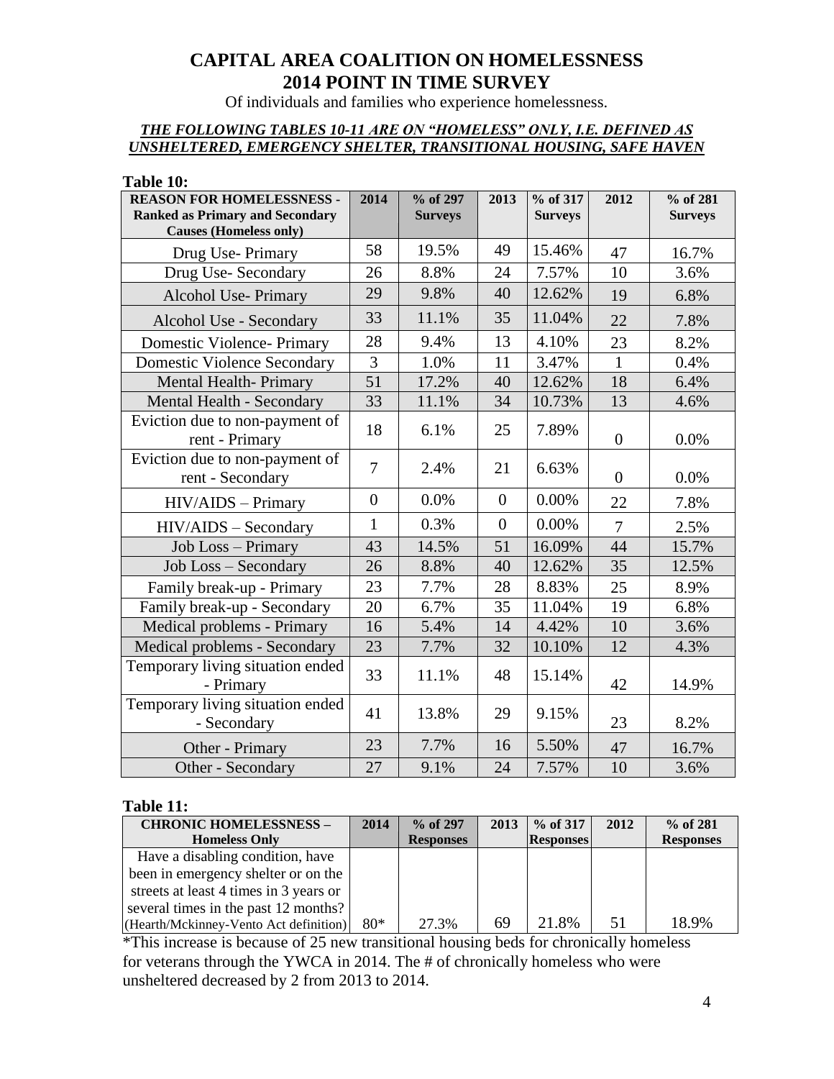Of individuals and families who experience homelessness.

### *THE FOLLOWING TABLES 10-11 ARE ON "HOMELESS" ONLY, I.E. DEFINED AS UNSHELTERED, EMERGENCY SHELTER, TRANSITIONAL HOUSING, SAFE HAVEN*

#### **Table 10:**

| <b>REASON FOR HOMELESSNESS -</b><br><b>Ranked as Primary and Secondary</b> | 2014           | % of 297<br><b>Surveys</b> | 2013             | % of 317<br><b>Surveys</b> | 2012           | % of 281<br><b>Surveys</b> |
|----------------------------------------------------------------------------|----------------|----------------------------|------------------|----------------------------|----------------|----------------------------|
| <b>Causes (Homeless only)</b>                                              |                |                            |                  |                            |                |                            |
| Drug Use-Primary                                                           | 58             | 19.5%                      | 49               | 15.46%                     | 47             | 16.7%                      |
| Drug Use-Secondary                                                         | 26             | 8.8%                       | 24               | 7.57%                      | 10             | 3.6%                       |
| <b>Alcohol Use-Primary</b>                                                 | 29             | 9.8%                       | 40               | 12.62%                     | 19             | 6.8%                       |
| Alcohol Use - Secondary                                                    | 33             | 11.1%                      | 35               | 11.04%                     | 22             | 7.8%                       |
| <b>Domestic Violence- Primary</b>                                          | 28             | 9.4%                       | 13               | 4.10%                      | 23             | 8.2%                       |
| <b>Domestic Violence Secondary</b>                                         | $\overline{3}$ | 1.0%                       | 11               | 3.47%                      | $\mathbf{1}$   | 0.4%                       |
| <b>Mental Health-Primary</b>                                               | 51             | 17.2%                      | 40               | 12.62%                     | 18             | 6.4%                       |
| Mental Health - Secondary                                                  | 33             | 11.1%                      | 34               | 10.73%                     | 13             | 4.6%                       |
| Eviction due to non-payment of<br>rent - Primary                           | 18             | 6.1%                       | 25               | 7.89%                      | $\overline{0}$ | 0.0%                       |
| Eviction due to non-payment of<br>rent - Secondary                         | $\overline{7}$ | 2.4%                       | 21               | 6.63%                      | $\overline{0}$ | 0.0%                       |
| HIV/AIDS - Primary                                                         | $\overline{0}$ | 0.0%                       | $\boldsymbol{0}$ | 0.00%                      | 22             | 7.8%                       |
| HIV/AIDS - Secondary                                                       | $\mathbf{1}$   | 0.3%                       | $\overline{0}$   | 0.00%                      | $\overline{7}$ | 2.5%                       |
| Job Loss - Primary                                                         | 43             | 14.5%                      | 51               | 16.09%                     | 44             | 15.7%                      |
| Job Loss - Secondary                                                       | 26             | 8.8%                       | 40               | 12.62%                     | 35             | 12.5%                      |
| Family break-up - Primary                                                  | 23             | 7.7%                       | 28               | 8.83%                      | 25             | 8.9%                       |
| Family break-up - Secondary                                                | 20             | 6.7%                       | 35               | 11.04%                     | 19             | 6.8%                       |
| Medical problems - Primary                                                 | 16             | 5.4%                       | 14               | 4.42%                      | 10             | 3.6%                       |
| Medical problems - Secondary                                               | 23             | 7.7%                       | 32               | 10.10%                     | 12             | 4.3%                       |
| Temporary living situation ended<br>- Primary                              | 33             | 11.1%                      | 48               | 15.14%                     | 42             | 14.9%                      |
| Temporary living situation ended<br>- Secondary                            | 41             | 13.8%                      | 29               | 9.15%                      | 23             | 8.2%                       |
| Other - Primary                                                            | 23             | 7.7%                       | 16               | 5.50%                      | 47             | 16.7%                      |
| Other - Secondary                                                          | 27             | 9.1%                       | 24               | 7.57%                      | 10             | 3.6%                       |

#### **Table 11:**

| <b>CHRONIC HOMELESSNESS -</b>          | 2014  | $\%$ of 297      | 2013 | $%$ of 317       | 2012 | $%$ of 281       |
|----------------------------------------|-------|------------------|------|------------------|------|------------------|
| <b>Homeless Only</b>                   |       | <b>Responses</b> |      | <b>Responses</b> |      | <b>Responses</b> |
| Have a disabling condition, have       |       |                  |      |                  |      |                  |
| been in emergency shelter or on the    |       |                  |      |                  |      |                  |
| streets at least 4 times in 3 years or |       |                  |      |                  |      |                  |
| several times in the past 12 months?   |       |                  |      |                  |      |                  |
| (Hearth/Mckinney-Vento Act definition) | $80*$ | 27.3%            | 69   | 21.8%            | 51   | 18.9%            |

\*This increase is because of 25 new transitional housing beds for chronically homeless for veterans through the YWCA in 2014. The # of chronically homeless who were unsheltered decreased by 2 from 2013 to 2014.